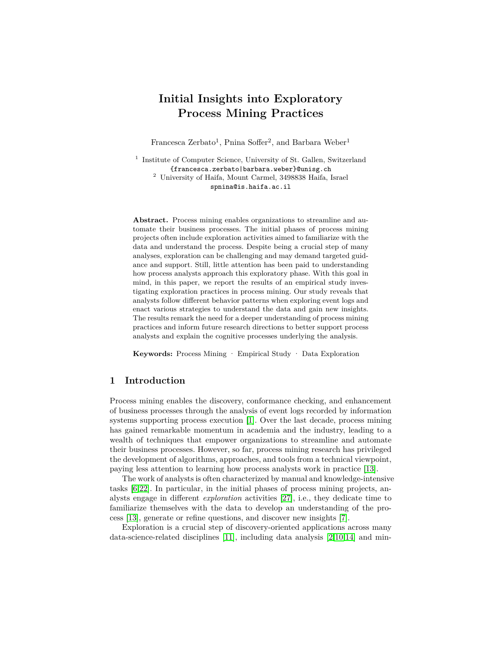# **Initial Insights into Exploratory Process Mining Practices**

Francesca Zerbato<sup>1</sup>, Pnina Soffer<sup>2</sup>, and Barbara Weber<sup>1</sup>

<sup>1</sup> Institute of Computer Science, University of St. Gallen, Switzerland {francesca.zerbato|barbara.weber}@unisg.ch  $^2$ University of Haifa, Mount Carmel, 3498838 Haifa, Israel

spnina@is.haifa.ac.il

**Abstract.** Process mining enables organizations to streamline and automate their business processes. The initial phases of process mining projects often include exploration activities aimed to familiarize with the data and understand the process. Despite being a crucial step of many analyses, exploration can be challenging and may demand targeted guidance and support. Still, little attention has been paid to understanding how process analysts approach this exploratory phase. With this goal in mind, in this paper, we report the results of an empirical study investigating exploration practices in process mining. Our study reveals that analysts follow different behavior patterns when exploring event logs and enact various strategies to understand the data and gain new insights. The results remark the need for a deeper understanding of process mining practices and inform future research directions to better support process analysts and explain the cognitive processes underlying the analysis.

**Keywords:** Process Mining · Empirical Study · Data Exploration

## <span id="page-0-0"></span>**1 Introduction**

Process mining enables the discovery, conformance checking, and enhancement of business processes through the analysis of event logs recorded by information systems supporting process execution [\[1\]](#page-14-0). Over the last decade, process mining has gained remarkable momentum in academia and the industry, leading to a wealth of techniques that empower organizations to streamline and automate their business processes. However, so far, process mining research has privileged the development of algorithms, approaches, and tools from a technical viewpoint, paying less attention to learning how process analysts work in practice [\[13\]](#page-15-0).

The work of analysts is often characterized by manual and knowledge-intensive tasks [\[6](#page-14-1)[,22\]](#page-15-1). In particular, in the initial phases of process mining projects, analysts engage in different *exploration* activities [\[27\]](#page-15-2), i.e., they dedicate time to familiarize themselves with the data to develop an understanding of the process [\[13\]](#page-15-0), generate or refine questions, and discover new insights [\[7\]](#page-14-2).

Exploration is a crucial step of discovery-oriented applications across many data-science-related disciplines [\[11\]](#page-15-3), including data analysis [\[2](#page-14-3)[,10](#page-15-4)[,14\]](#page-15-5) and min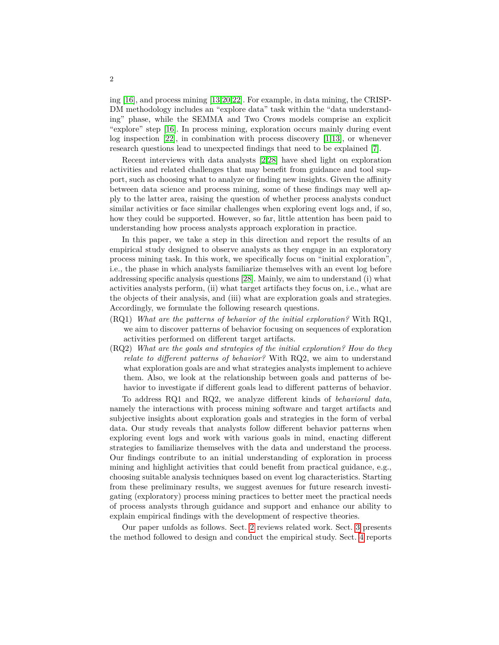ing [\[16\]](#page-15-6), and process mining [\[13,](#page-15-0)[20,](#page-15-7)[22\]](#page-15-1). For example, in data mining, the CRISP-DM methodology includes an "explore data" task within the "data understanding" phase, while the SEMMA and Two Crows models comprise an explicit "explore" step [\[16\]](#page-15-6). In process mining, exploration occurs mainly during event log inspection [\[22\]](#page-15-1), in combination with process discovery [\[1](#page-14-0)[,13\]](#page-15-0), or whenever research questions lead to unexpected findings that need to be explained [\[7\]](#page-14-2).

Recent interviews with data analysts [\[2,](#page-14-3)[28\]](#page-15-8) have shed light on exploration activities and related challenges that may benefit from guidance and tool support, such as choosing what to analyze or finding new insights. Given the affinity between data science and process mining, some of these findings may well apply to the latter area, raising the question of whether process analysts conduct similar activities or face similar challenges when exploring event logs and, if so, how they could be supported. However, so far, little attention has been paid to understanding how process analysts approach exploration in practice.

In this paper, we take a step in this direction and report the results of an empirical study designed to observe analysts as they engage in an exploratory process mining task. In this work, we specifically focus on "initial exploration", i.e., the phase in which analysts familiarize themselves with an event log before addressing specific analysis questions [\[28\]](#page-15-8). Mainly, we aim to understand (i) what activities analysts perform, (ii) what target artifacts they focus on, i.e., what are the objects of their analysis, and (iii) what are exploration goals and strategies. Accordingly, we formulate the following research questions.

- (RQ1) *What are the patterns of behavior of the initial exploration?* With RQ1, we aim to discover patterns of behavior focusing on sequences of exploration activities performed on different target artifacts.
- (RQ2) *What are the goals and strategies of the initial exploration? How do they relate to different patterns of behavior?* With RQ2, we aim to understand what exploration goals are and what strategies analysts implement to achieve them. Also, we look at the relationship between goals and patterns of behavior to investigate if different goals lead to different patterns of behavior.

To address RQ1 and RQ2, we analyze different kinds of *behavioral data*, namely the interactions with process mining software and target artifacts and subjective insights about exploration goals and strategies in the form of verbal data. Our study reveals that analysts follow different behavior patterns when exploring event logs and work with various goals in mind, enacting different strategies to familiarize themselves with the data and understand the process. Our findings contribute to an initial understanding of exploration in process mining and highlight activities that could benefit from practical guidance, e.g., choosing suitable analysis techniques based on event log characteristics. Starting from these preliminary results, we suggest avenues for future research investigating (exploratory) process mining practices to better meet the practical needs of process analysts through guidance and support and enhance our ability to explain empirical findings with the development of respective theories.

Our paper unfolds as follows. Sect. [2](#page-2-0) reviews related work. Sect. [3](#page-3-0) presents the method followed to design and conduct the empirical study. Sect. [4](#page-5-0) reports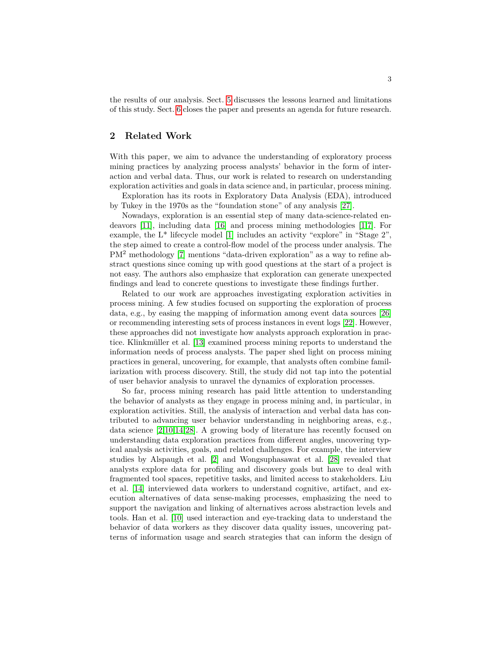the results of our analysis. Sect. [5](#page-12-0) discusses the lessons learned and limitations of this study. Sect. [6](#page-13-0) closes the paper and presents an agenda for future research.

## <span id="page-2-0"></span>**2 Related Work**

With this paper, we aim to advance the understanding of exploratory process mining practices by analyzing process analysts' behavior in the form of interaction and verbal data. Thus, our work is related to research on understanding exploration activities and goals in data science and, in particular, process mining.

Exploration has its roots in Exploratory Data Analysis (EDA), introduced by Tukey in the 1970s as the "foundation stone" of any analysis [\[27\]](#page-15-2).

Nowadays, exploration is an essential step of many data-science-related endeavors [\[11\]](#page-15-3), including data [\[16\]](#page-15-6) and process mining methodologies [\[1](#page-14-0)[,7\]](#page-14-2). For example, the L\* lifecycle model [\[1\]](#page-14-0) includes an activity "explore" in "Stage 2", the step aimed to create a control-flow model of the process under analysis. The PM<sup>2</sup> methodology [\[7\]](#page-14-2) mentions "data-driven exploration" as a way to refine abstract questions since coming up with good questions at the start of a project is not easy. The authors also emphasize that exploration can generate unexpected findings and lead to concrete questions to investigate these findings further.

Related to our work are approaches investigating exploration activities in process mining. A few studies focused on supporting the exploration of process data, e.g., by easing the mapping of information among event data sources [\[26\]](#page-15-9) or recommending interesting sets of process instances in event logs [\[22\]](#page-15-1). However, these approaches did not investigate how analysts approach exploration in practice. Klinkmüller et al. [\[13\]](#page-15-0) examined process mining reports to understand the information needs of process analysts. The paper shed light on process mining practices in general, uncovering, for example, that analysts often combine familiarization with process discovery. Still, the study did not tap into the potential of user behavior analysis to unravel the dynamics of exploration processes.

So far, process mining research has paid little attention to understanding the behavior of analysts as they engage in process mining and, in particular, in exploration activities. Still, the analysis of interaction and verbal data has contributed to advancing user behavior understanding in neighboring areas, e.g., data science [\[2](#page-14-3)[,10,](#page-15-4)[14,](#page-15-5)[28\]](#page-15-8). A growing body of literature has recently focused on understanding data exploration practices from different angles, uncovering typical analysis activities, goals, and related challenges. For example, the interview studies by Alspaugh et al. [\[2\]](#page-14-3) and Wongsuphasawat et al. [\[28\]](#page-15-8) revealed that analysts explore data for profiling and discovery goals but have to deal with fragmented tool spaces, repetitive tasks, and limited access to stakeholders. Liu et al. [\[14\]](#page-15-5) interviewed data workers to understand cognitive, artifact, and execution alternatives of data sense-making processes, emphasizing the need to support the navigation and linking of alternatives across abstraction levels and tools. Han et al. [\[10\]](#page-15-4) used interaction and eye-tracking data to understand the behavior of data workers as they discover data quality issues, uncovering patterns of information usage and search strategies that can inform the design of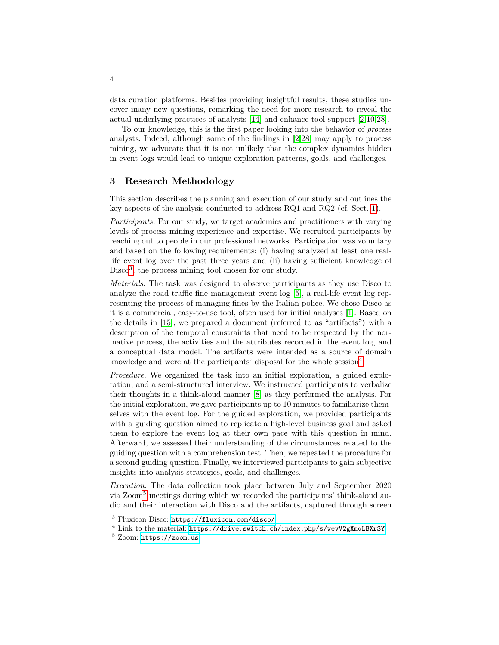data curation platforms. Besides providing insightful results, these studies uncover many new questions, remarking the need for more research to reveal the actual underlying practices of analysts [\[14\]](#page-15-5) and enhance tool support [\[2,](#page-14-3)[10](#page-15-4)[,28\]](#page-15-8).

To our knowledge, this is the first paper looking into the behavior of *process* analysts. Indeed, although some of the findings in [\[2,](#page-14-3)[28\]](#page-15-8) may apply to process mining, we advocate that it is not unlikely that the complex dynamics hidden in event logs would lead to unique exploration patterns, goals, and challenges.

## <span id="page-3-0"></span>**3 Research Methodology**

This section describes the planning and execution of our study and outlines the key aspects of the analysis conducted to address RQ1 and RQ2 (cf. Sect. [1\)](#page-0-0).

*Participants.* For our study, we target academics and practitioners with varying levels of process mining experience and expertise. We recruited participants by reaching out to people in our professional networks. Participation was voluntary and based on the following requirements: (i) having analyzed at least one reallife event log over the past three years and (ii) having sufficient knowledge of  $Disco<sup>3</sup>$  $Disco<sup>3</sup>$  $Disco<sup>3</sup>$ , the process mining tool chosen for our study.

*Materials.* The task was designed to observe participants as they use Disco to analyze the road traffic fine management event log [\[5\]](#page-14-4), a real-life event log representing the process of managing fines by the Italian police. We chose Disco as it is a commercial, easy-to-use tool, often used for initial analyses [\[1\]](#page-14-0). Based on the details in [\[15\]](#page-15-10), we prepared a document (referred to as "artifacts") with a description of the temporal constraints that need to be respected by the normative process, the activities and the attributes recorded in the event log, and a conceptual data model. The artifacts were intended as a source of domain knowledge and were at the participants' disposal for the whole session<sup>[4](#page-3-2)</sup>.

*Procedure.* We organized the task into an initial exploration, a guided exploration, and a semi-structured interview. We instructed participants to verbalize their thoughts in a think-aloud manner [\[8\]](#page-15-11) as they performed the analysis. For the initial exploration, we gave participants up to 10 minutes to familiarize themselves with the event log. For the guided exploration, we provided participants with a guiding question aimed to replicate a high-level business goal and asked them to explore the event log at their own pace with this question in mind. Afterward, we assessed their understanding of the circumstances related to the guiding question with a comprehension test. Then, we repeated the procedure for a second guiding question. Finally, we interviewed participants to gain subjective insights into analysis strategies, goals, and challenges.

*Execution.* The data collection took place between July and September 2020 via Zoom[5](#page-3-3) meetings during which we recorded the participants' think-aloud audio and their interaction with Disco and the artifacts, captured through screen

<span id="page-3-1"></span><sup>3</sup> Fluxicon Disco: <https://fluxicon.com/disco/>

<span id="page-3-2"></span><sup>4</sup> Link to the material: <https://drive.switch.ch/index.php/s/wevV2gXmoLBXrSY>

<span id="page-3-3"></span><sup>5</sup> Zoom: <https://zoom.us>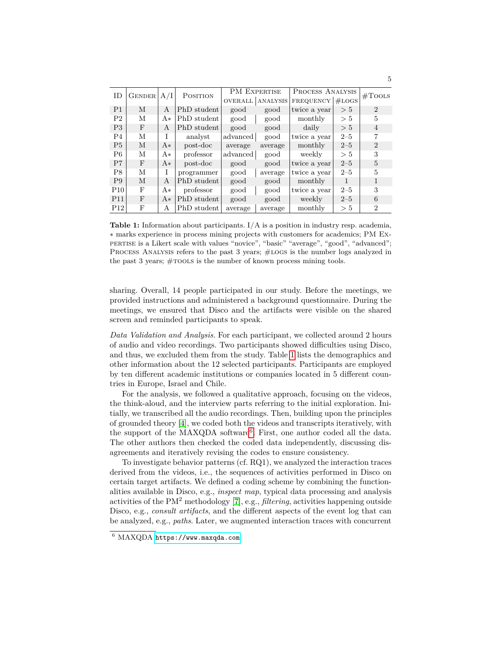<span id="page-4-0"></span>

| ID              | <b>GENDER</b> | A/I  | <b>POSITION</b> | <b>PM EXPERTISE</b> |                 | <b>PROCESS ANALYSIS</b> |              |                |  |
|-----------------|---------------|------|-----------------|---------------------|-----------------|-------------------------|--------------|----------------|--|
|                 |               |      |                 | <b>OVERALL</b>      | <b>ANALYSIS</b> | <b>FREQUENCY</b>        | #LOGS        | #Tools         |  |
| P <sub>1</sub>  | M             | A    | PhD student     | good                | good            | twice a year            | > 5          | $\overline{2}$ |  |
| P <sub>2</sub>  | М             | $A*$ | PhD student     | good                | good            | monthly                 | > 5          | 5              |  |
| P <sub>3</sub>  | F             | A    | PhD student     | good                | good            | daily                   | > 5          | $\overline{4}$ |  |
| P <sub>4</sub>  | М             |      | analyst         | advanced            | good            | twice a year            | $2 - 5$      |                |  |
| P <sub>5</sub>  | M             | $A*$ | post-doc        | average             | average         | monthly                 | $2 - 5$      | $\overline{2}$ |  |
| P <sub>6</sub>  | М             | A*   | professor       | advanced            | good            | weekly                  | > 5          | 3              |  |
| P <sub>7</sub>  | F             | $A*$ | post-doc        | good                | good            | twice a year            | $2 - 5$      | 5              |  |
| P <sub>8</sub>  | М             | T    | programmer      | good                | average         | twice a year            | $2 - 5$      | 5              |  |
| P9              | M             | A    | PhD student     | good                | good            | monthly                 | $\mathbf{1}$ |                |  |
| P10             | F             | A*   | professor       | good                | good            | twice a year            | $2 - 5$      | 3              |  |
| P <sub>11</sub> | F             | $A*$ | PhD student     | good                | good            | weekly                  | $2 - 5$      | 6              |  |
| P12             | F             | A    | PhD student     | average             | average         | monthly                 | > 5          | $\overline{2}$ |  |

**Table 1:** Information about participants. I/A is a position in industry resp. academia, ∗ marks experience in process mining projects with customers for academics; PM Expertise is a Likert scale with values "novice", "basic" "average", "good", "advanced"; PROCESS ANALYSIS refers to the past 3 years; #LOGS is the number logs analyzed in the past 3 years;  $# \text{roots}$  is the number of known process mining tools.

sharing. Overall, 14 people participated in our study. Before the meetings, we provided instructions and administered a background questionnaire. During the meetings, we ensured that Disco and the artifacts were visible on the shared screen and reminded participants to speak.

*Data Validation and Analysis.* For each participant, we collected around 2 hours of audio and video recordings. Two participants showed difficulties using Disco, and thus, we excluded them from the study. Table [1](#page-4-0) lists the demographics and other information about the 12 selected participants. Participants are employed by ten different academic institutions or companies located in 5 different countries in Europe, Israel and Chile.

For the analysis, we followed a qualitative approach, focusing on the videos, the think-aloud, and the interview parts referring to the initial exploration. Initially, we transcribed all the audio recordings. Then, building upon the principles of grounded theory [\[4\]](#page-14-5), we coded both the videos and transcripts iteratively, with the support of the MAXQDA software<sup>[6](#page-4-1)</sup>. First, one author coded all the data. The other authors then checked the coded data independently, discussing disagreements and iteratively revising the codes to ensure consistency.

To investigate behavior patterns (cf. RQ1), we analyzed the interaction traces derived from the videos, i.e., the sequences of activities performed in Disco on certain target artifacts. We defined a coding scheme by combining the functionalities available in Disco, e.g., *inspect map*, typical data processing and analysis activities of the PM<sup>2</sup> methodology [\[7\]](#page-14-2), e.g., *filtering*, activities happening outside Disco, e.g., *consult artifacts*, and the different aspects of the event log that can be analyzed, e.g., *paths*. Later, we augmented interaction traces with concurrent

<span id="page-4-1"></span><sup>6</sup> MAXQDA <https://www.maxqda.com>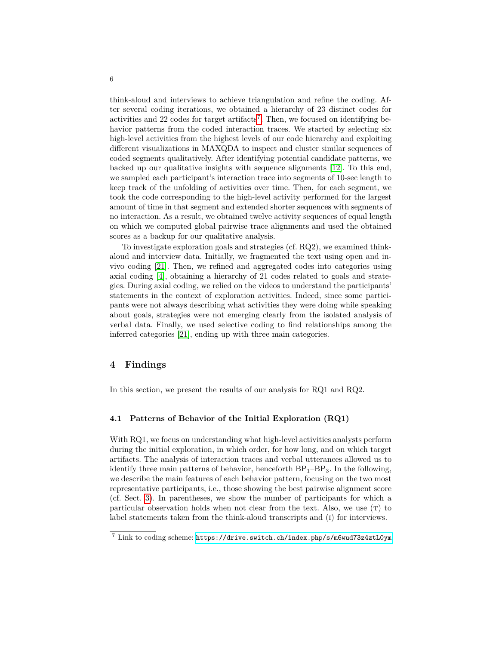think-aloud and interviews to achieve triangulation and refine the coding. After several coding iterations, we obtained a hierarchy of 23 distinct codes for activities and 22 codes for target artifacts<sup>[7](#page-5-1)</sup>. Then, we focused on identifying behavior patterns from the coded interaction traces. We started by selecting six high-level activities from the highest levels of our code hierarchy and exploiting different visualizations in MAXQDA to inspect and cluster similar sequences of coded segments qualitatively. After identifying potential candidate patterns, we backed up our qualitative insights with sequence alignments [\[12\]](#page-15-12). To this end, we sampled each participant's interaction trace into segments of 10-sec length to keep track of the unfolding of activities over time. Then, for each segment, we took the code corresponding to the high-level activity performed for the largest amount of time in that segment and extended shorter sequences with segments of no interaction. As a result, we obtained twelve activity sequences of equal length on which we computed global pairwise trace alignments and used the obtained scores as a backup for our qualitative analysis.

To investigate exploration goals and strategies (cf. RQ2), we examined thinkaloud and interview data. Initially, we fragmented the text using open and invivo coding [\[21\]](#page-15-13). Then, we refined and aggregated codes into categories using axial coding [\[4\]](#page-14-5), obtaining a hierarchy of 21 codes related to goals and strategies. During axial coding, we relied on the videos to understand the participants' statements in the context of exploration activities. Indeed, since some participants were not always describing what activities they were doing while speaking about goals, strategies were not emerging clearly from the isolated analysis of verbal data. Finally, we used selective coding to find relationships among the inferred categories [\[21\]](#page-15-13), ending up with three main categories.

## <span id="page-5-0"></span>**4 Findings**

In this section, we present the results of our analysis for RQ1 and RQ2.

#### <span id="page-5-2"></span>**4.1 Patterns of Behavior of the Initial Exploration (RQ1)**

With RQ1, we focus on understanding what high-level activities analysts perform during the initial exploration, in which order, for how long, and on which target artifacts. The analysis of interaction traces and verbal utterances allowed us to identify three main patterns of behavior, henceforth  $BP_1-BP_3$ . In the following, we describe the main features of each behavior pattern, focusing on the two most representative participants, i.e., those showing the best pairwise alignment score (cf. Sect. [3\)](#page-3-0). In parentheses, we show the number of participants for which a particular observation holds when not clear from the text. Also, we use  $(T)$  to label statements taken from the think-aloud transcripts and (i) for interviews.

<span id="page-5-1"></span><sup>7</sup> Link to coding scheme: <https://drive.switch.ch/index.php/s/m6wud73z4ztL0ym>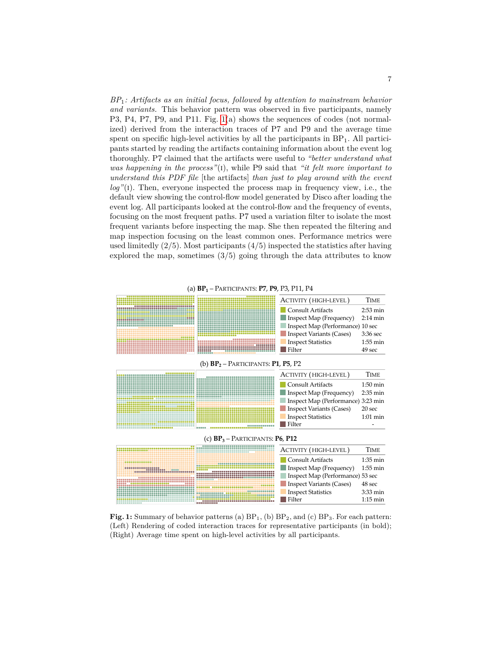*BP*1*: Artifacts as an initial focus, followed by attention to mainstream behavior and variants.* This behavior pattern was observed in five participants, namely P3, P4, P7, P9, and P11. Fig. [1\(](#page-6-0)a) shows the sequences of codes (not normalized) derived from the interaction traces of P7 and P9 and the average time spent on specific high-level activities by all the participants in  $BP_1$ . All participants started by reading the artifacts containing information about the event log thoroughly. P7 claimed that the artifacts were useful to *"better understand what was happening in the process"*(i), while P9 said that *"it felt more important to understand this PDF file* [the artifacts] *than just to play around with the event log*"(I). Then, everyone inspected the process map in frequency view, i.e., the default view showing the control-flow model generated by Disco after loading the event log. All participants looked at the control-flow and the frequency of events, focusing on the most frequent paths. P7 used a variation filter to isolate the most frequent variants before inspecting the map. She then repeated the filtering and map inspection focusing on the least common ones. Performance metrics were used limitedly  $(2/5)$ . Most participants  $(4/5)$  inspected the statistics after having explored the map, sometimes  $(3/5)$  going through the data attributes to know

<span id="page-6-0"></span>

**Fig. 1:** Summary of behavior patterns (a)  $BP_1$ , (b)  $BP_2$ , and (c)  $BP_3$ . For each pattern: (Left) Rendering of coded interaction traces for representative participants (in bold); (Right) Average time spent on high-level activities by all participants.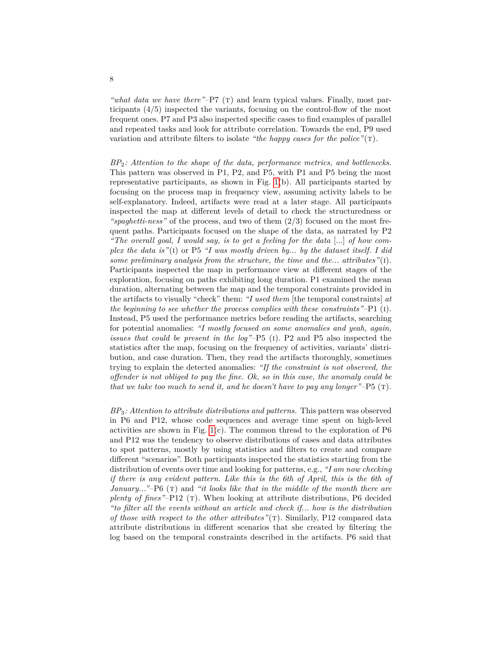*"what data we have there"*–P7 (T) and learn typical values. Finally, most participants (4/5) inspected the variants, focusing on the control-flow of the most frequent ones. P7 and P3 also inspected specific cases to find examples of parallel and repeated tasks and look for attribute correlation. Towards the end, P9 used variation and attribute filters to isolate *"the happy cases for the police"*(T).

*BP*2*: Attention to the shape of the data, performance metrics, and bottlenecks.* This pattern was observed in P1, P2, and P5, with P1 and P5 being the most representative participants, as shown in Fig. [1\(](#page-6-0)b). All participants started by focusing on the process map in frequency view, assuming activity labels to be self-explanatory. Indeed, artifacts were read at a later stage. All participants inspected the map at different levels of detail to check the structuredness or *"spaghetti-ness"* of the process, and two of them (2/3) focused on the most frequent paths. Participants focused on the shape of the data, as narrated by P2 *"The overall goal, I would say, is to get a feeling for the data* [...] *of how complex the data is"*(i) or P5 *"I was mostly driven by... by the dataset itself. I did some preliminary analysis from the structure, the time and the... attributes"*(i). Participants inspected the map in performance view at different stages of the exploration, focusing on paths exhibiting long duration. P1 examined the mean duration, alternating between the map and the temporal constraints provided in the artifacts to visually "check" them: *"I used them* [the temporal constraints] *at the beginning to see whether the process complies with these constraints"*–P1 (i). Instead, P5 used the performance metrics before reading the artifacts, searching for potential anomalies: *"I mostly focused on some anomalies and yeah, again, issues that could be present in the log"*–P5 (i). P2 and P5 also inspected the statistics after the map, focusing on the frequency of activities, variants' distribution, and case duration. Then, they read the artifacts thoroughly, sometimes trying to explain the detected anomalies: *"If the constraint is not observed, the offender is not obliged to pay the fine. Ok, so in this case, the anomaly could be that we take too much to send it, and he doesn't have to pay any longer"*–P5 (t).

*BP*3*: Attention to attribute distributions and patterns.* This pattern was observed in P6 and P12, whose code sequences and average time spent on high-level activities are shown in Fig.  $1(c)$ . The common thread to the exploration of P6 and P12 was the tendency to observe distributions of cases and data attributes to spot patterns, mostly by using statistics and filters to create and compare different "scenarios". Both participants inspected the statistics starting from the distribution of events over time and looking for patterns, e.g., *"I am now checking if there is any evident pattern. Like this is the 6th of April, this is the 6th of January...*"–P6 (T) and "*it looks like that in the middle of the month there are plenty of fines*"–P12 (T). When looking at attribute distributions, P6 decided *"to filter all the events without an article and check if... how is the distribution of those with respect to the other attributes*"(T). Similarly, P12 compared data attribute distributions in different scenarios that she created by filtering the log based on the temporal constraints described in the artifacts. P6 said that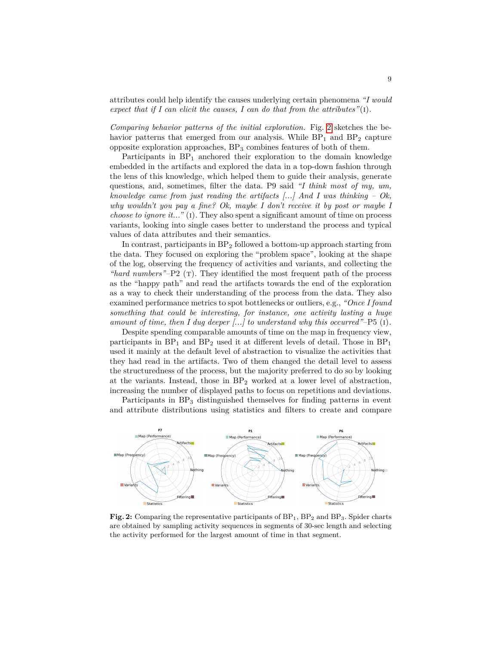attributes could help identify the causes underlying certain phenomena *"I would expect that if I can elicit the causes, I can do that from the attributes"*(i).

*Comparing behavior patterns of the initial exploration.* Fig. [2](#page-8-0) sketches the behavior patterns that emerged from our analysis. While  $BP_1$  and  $BP_2$  capture opposite exploration approaches,  $BP_3$  combines features of both of them.

Participants in  $BP_1$  anchored their exploration to the domain knowledge embedded in the artifacts and explored the data in a top-down fashion through the lens of this knowledge, which helped them to guide their analysis, generate questions, and, sometimes, filter the data. P9 said *"I think most of my, um, knowledge came from just reading the artifacts [...] And I was thinking – Ok, why wouldn't you pay a fine? Ok, maybe I don't receive it by post or maybe I choose to ignore it..."* (I). They also spent a significant amount of time on process variants, looking into single cases better to understand the process and typical values of data attributes and their semantics.

In contrast, participants in  $BP_2$  followed a bottom-up approach starting from the data. They focused on exploring the "problem space", looking at the shape of the log, observing the frequency of activities and variants, and collecting the *"hard numbers"*–P2 (T). They identified the most frequent path of the process as the "happy path" and read the artifacts towards the end of the exploration as a way to check their understanding of the process from the data. They also examined performance metrics to spot bottlenecks or outliers, e.g., *"Once I found something that could be interesting, for instance, one activity lasting a huge amount of time, then I dug deeper [...] to understand why this occurred"*–P5 (i).

Despite spending comparable amounts of time on the map in frequency view, participants in  $BP_1$  and  $BP_2$  used it at different levels of detail. Those in  $BP_1$ used it mainly at the default level of abstraction to visualize the activities that they had read in the artifacts. Two of them changed the detail level to assess the structuredness of the process, but the majority preferred to do so by looking at the variants. Instead, those in  $BP_2$  worked at a lower level of abstraction, increasing the number of displayed paths to focus on repetitions and deviations.

Participants in  $BP_3$  distinguished themselves for finding patterns in event and attribute distributions using statistics and filters to create and compare

<span id="page-8-0"></span>

Fig. 2: Comparing the representative participants of BP<sub>1</sub>, BP<sub>2</sub> and BP<sub>3</sub>. Spider charts are obtained by sampling activity sequences in segments of 30-sec length and selecting the activity performed for the largest amount of time in that segment.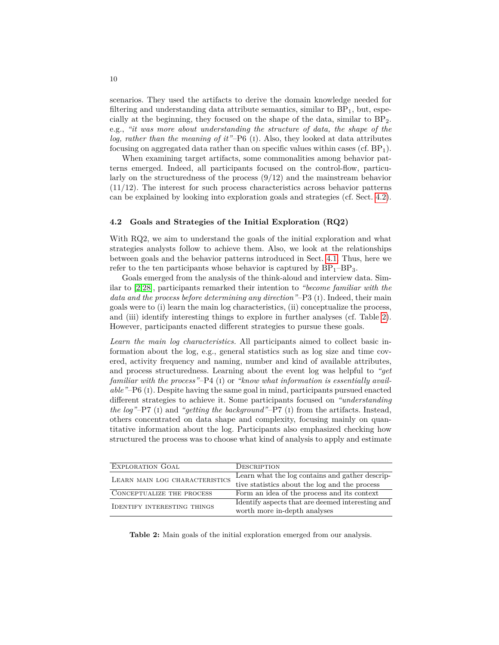scenarios. They used the artifacts to derive the domain knowledge needed for filtering and understanding data attribute semantics, similar to  $BP_1$ , but, especially at the beginning, they focused on the shape of the data, similar to BP2. e.g., *"it was more about understanding the structure of data, the shape of the log, rather than the meaning of it"*–P6 (i). Also, they looked at data attributes focusing on aggregated data rather than on specific values within cases (cf.  $BP_1$ ).

When examining target artifacts, some commonalities among behavior patterns emerged. Indeed, all participants focused on the control-flow, particularly on the structuredness of the process  $(9/12)$  and the mainstream behavior (11/12). The interest for such process characteristics across behavior patterns can be explained by looking into exploration goals and strategies (cf. Sect. [4.2\)](#page-9-0).

#### <span id="page-9-0"></span>**4.2 Goals and Strategies of the Initial Exploration (RQ2)**

With RQ2, we aim to understand the goals of the initial exploration and what strategies analysts follow to achieve them. Also, we look at the relationships between goals and the behavior patterns introduced in Sect. [4.1.](#page-5-2) Thus, here we refer to the ten participants whose behavior is captured by  $BP_1-BP_3$ .

Goals emerged from the analysis of the think-aloud and interview data. Similar to [\[2](#page-14-3)[,28\]](#page-15-8), participants remarked their intention to *"become familiar with the data and the process before determining any direction"*–P3 (i). Indeed, their main goals were to (i) learn the main log characteristics, (ii) conceptualize the process, and (iii) identify interesting things to explore in further analyses (cf. Table [2\)](#page-9-1). However, participants enacted different strategies to pursue these goals.

*Learn the main log characteristics.* All participants aimed to collect basic information about the log, e.g., general statistics such as log size and time covered, activity frequency and naming, number and kind of available attributes, and process structuredness. Learning about the event log was helpful to *"get familiar with the process"*–P4 (i) or *"know what information is essentially available"*–P6 (i). Despite having the same goal in mind, participants pursued enacted different strategies to achieve it. Some participants focused on *"understanding the log"*–P7 (i) and *"getting the background"*–P7 (i) from the artifacts. Instead, others concentrated on data shape and complexity, focusing mainly on quantitative information about the log. Participants also emphasized checking how structured the process was to choose what kind of analysis to apply and estimate

<span id="page-9-1"></span>

| <b>EXPLORATION GOAL</b>            | DESCRIPTION                                      |
|------------------------------------|--------------------------------------------------|
| LEARN MAIN LOG CHARACTERISTICS     | Learn what the log contains and gather descrip-  |
|                                    | tive statistics about the log and the process    |
| CONCEPTUALIZE THE PROCESS          | Form an idea of the process and its context      |
| <b>IDENTIFY INTERESTING THINGS</b> | Identify aspects that are deemed interesting and |
|                                    | worth more in-depth analyses                     |

**Table 2:** Main goals of the initial exploration emerged from our analysis.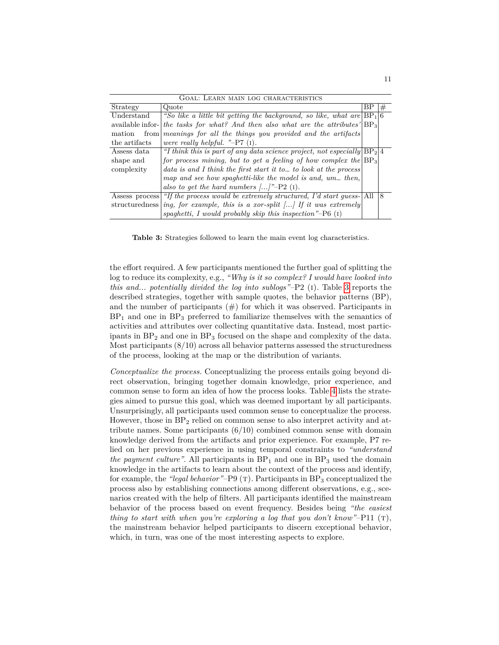<span id="page-10-0"></span>

| GOAL: LEARN MAIN LOG CHARACTERISTICS |                                                                                   |  |   |
|--------------------------------------|-----------------------------------------------------------------------------------|--|---|
| Strategy                             | Quote<br>ВF                                                                       |  |   |
| Understand                           | "So like a little bit getting the background, so like, what are $BP_1 6$          |  |   |
| available infor-                     | the tasks for what? And then also what are the attributes' $ BP_3 $               |  |   |
| mation<br>from                       | meanings for all the things you provided and the artifacts                        |  |   |
| the artifacts                        | were really helpful. " $-P7$ (1).                                                 |  |   |
| Assess data                          | "I think this is part of any data science project, not especially $ BP_2 4$       |  |   |
| shape and                            | for process mining, but to get a feeling of how complex the $ BP_3 $              |  |   |
| complexity                           | data is and I think the first start it to to look at the process                  |  |   |
|                                      | map and see how spaghetti-like the model is and, um then,                         |  |   |
|                                      | also to get the hard numbers $\ldots$ <sup>"</sup> -P2 (1).                       |  |   |
| Assess process                       | "If the process would be extremely structured, I'd start guess- $\vert$ All       |  | 8 |
|                                      | structuredness ing, for example, this is a xor-split $\ldots$ If it was extremely |  |   |
|                                      | spaghetti, I would probably skip this inspection"-P6 $(I)$                        |  |   |

**Table 3:** Strategies followed to learn the main event log characteristics.

the effort required. A few participants mentioned the further goal of splitting the log to reduce its complexity, e.g., *"Why is it so complex? I would have looked into this and... potentially divided the log into sublogs"*–P2 (i). Table [3](#page-10-0) reports the described strategies, together with sample quotes, the behavior patterns (BP), and the number of participants  $(\#)$  for which it was observed. Participants in  $BP<sub>1</sub>$  and one in  $BP<sub>3</sub>$  preferred to familiarize themselves with the semantics of activities and attributes over collecting quantitative data. Instead, most participants in BP<sub>2</sub> and one in BP<sub>3</sub> focused on the shape and complexity of the data. Most participants (8/10) across all behavior patterns assessed the structuredness of the process, looking at the map or the distribution of variants.

*Conceptualize the process.* Conceptualizing the process entails going beyond direct observation, bringing together domain knowledge, prior experience, and common sense to form an idea of how the process looks. Table [4](#page-11-0) lists the strategies aimed to pursue this goal, which was deemed important by all participants. Unsurprisingly, all participants used common sense to conceptualize the process. However, those in  $BP_2$  relied on common sense to also interpret activity and attribute names. Some participants  $(6/10)$  combined common sense with domain knowledge derived from the artifacts and prior experience. For example, P7 relied on her previous experience in using temporal constraints to *"understand the payment culture"*. All participants in  $BP_1$  and one in  $BP_3$  used the domain knowledge in the artifacts to learn about the context of the process and identify, for example, the *"legal behavior"*–P9 (T). Participants in BP<sub>3</sub> conceptualized the process also by establishing connections among different observations, e.g., scenarios created with the help of filters. All participants identified the mainstream behavior of the process based on event frequency. Besides being *"the easiest thing to start with when you're exploring a log that you don't know"*– $P11$  (T), the mainstream behavior helped participants to discern exceptional behavior, which, in turn, was one of the most interesting aspects to explore.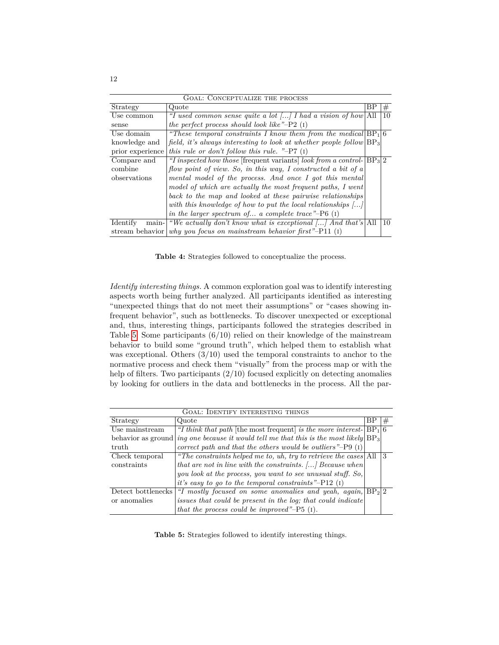<span id="page-11-0"></span>

| <b>GOAL: CONCEPTUALIZE THE PROCESS</b> |                                                                             |    |    |  |
|----------------------------------------|-----------------------------------------------------------------------------|----|----|--|
| Strategy                               | Quote                                                                       | ΒP | #  |  |
| Use common                             | "I used common sense quite a lot [] I had a vision of how All               |    | 10 |  |
| sense                                  | the perfect process should look like" $-P2$ (1)                             |    |    |  |
| Use domain                             | "These temporal constraints I know them from the medical $BP_1 6$           |    |    |  |
| knowledge and                          | field, it's always interesting to look at whether people follow $ BP_3 $    |    |    |  |
| prior experience                       | this rule or don't follow this rule. "-P7 $(I)$                             |    |    |  |
| Compare and                            | "I inspected how those [frequent variants] look from a control- $ BP_3 2$   |    |    |  |
| combine                                | flow point of view. So, in this way, I constructed a bit of a               |    |    |  |
| observations                           | mental model of the process. And once I got this mental                     |    |    |  |
|                                        | model of which are actually the most frequent paths, I went                 |    |    |  |
|                                        | back to the map and looked at these pairwise relationships                  |    |    |  |
|                                        | with this knowledge of how to put the local relationships $[\dots]$         |    |    |  |
|                                        | in the larger spectrum of a complete trace"– $P6$ (1)                       |    |    |  |
| Identify<br>main-                      | "We actually don't know what is exceptional [] And that's All               |    | 10 |  |
|                                        | stream behavior <i>why you focus on mainstream behavior first</i> "-P11 (1) |    |    |  |

**Table 4:** Strategies followed to conceptualize the process.

*Identify interesting things.* A common exploration goal was to identify interesting aspects worth being further analyzed. All participants identified as interesting "unexpected things that do not meet their assumptions" or "cases showing infrequent behavior", such as bottlenecks. To discover unexpected or exceptional and, thus, interesting things, participants followed the strategies described in Table [5.](#page-11-1) Some participants  $(6/10)$  relied on their knowledge of the mainstream behavior to build some "ground truth", which helped them to establish what was exceptional. Others  $(3/10)$  used the temporal constraints to anchor to the normative process and check them "visually" from the process map or with the help of filters. Two participants  $(2/10)$  focused explicitly on detecting anomalies by looking for outliers in the data and bottlenecks in the process. All the par-

<span id="page-11-1"></span>

| GOAL: IDENTIFY INTERESTING THINGS |                                                                          |    |    |  |
|-----------------------------------|--------------------------------------------------------------------------|----|----|--|
| Strategy                          | Quote                                                                    | Bl | #  |  |
| Use mainstream                    | "I think that path [the most frequent] is the more interest- $ BP_1 6$   |    |    |  |
| behavior as ground                | ing one because it would tell me that this is the most likely $ BP_3 $   |    |    |  |
| truth                             | correct path and that the others would be outliers" $-P9$ (1)            |    |    |  |
| Check temporal                    | "The constraints helped me to, uh, try to retrieve the cases $\vert$ All |    | Ι3 |  |
| constraints                       | that are not in line with the constraints. [] Because when               |    |    |  |
|                                   | you look at the process, you want to see unusual stuff. So,              |    |    |  |
|                                   | it's easy to go to the temporal constraints"- $P12$ (1)                  |    |    |  |
| Detect bottlenecks                | "I mostly focused on some anomalies and yeah, again, $ BP_2 2$           |    |    |  |
| or anomalies                      | issues that could be present in the log; that could indicate             |    |    |  |
|                                   | that the process could be improved"- $P5$ (1).                           |    |    |  |

**Table 5:** Strategies followed to identify interesting things.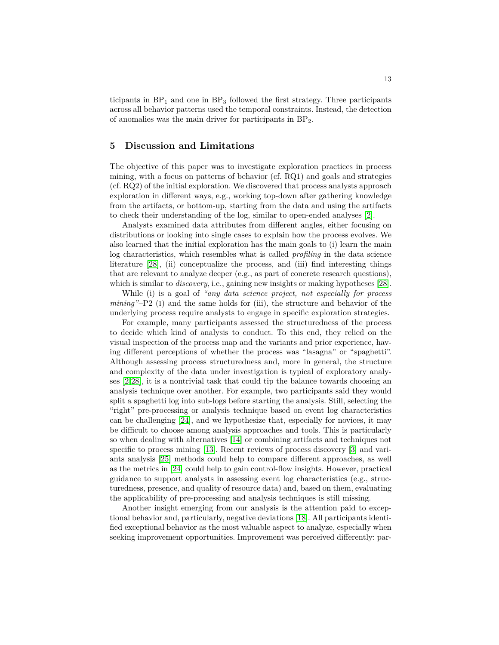ticipants in  $BP_1$  and one in  $BP_3$  followed the first strategy. Three participants across all behavior patterns used the temporal constraints. Instead, the detection of anomalies was the main driver for participants in BP2.

#### <span id="page-12-0"></span>**5 Discussion and Limitations**

The objective of this paper was to investigate exploration practices in process mining, with a focus on patterns of behavior (cf. RQ1) and goals and strategies (cf. RQ2) of the initial exploration. We discovered that process analysts approach exploration in different ways, e.g., working top-down after gathering knowledge from the artifacts, or bottom-up, starting from the data and using the artifacts to check their understanding of the log, similar to open-ended analyses [\[2\]](#page-14-3).

Analysts examined data attributes from different angles, either focusing on distributions or looking into single cases to explain how the process evolves. We also learned that the initial exploration has the main goals to (i) learn the main log characteristics, which resembles what is called *profiling* in the data science literature [\[28\]](#page-15-8), (ii) conceptualize the process, and (iii) find interesting things that are relevant to analyze deeper (e.g., as part of concrete research questions), which is similar to *discovery*, i.e., gaining new insights or making hypotheses [\[28\]](#page-15-8).

While (i) is a goal of *"any data science project, not especially for process mining"*–P2 (i) and the same holds for (iii), the structure and behavior of the underlying process require analysts to engage in specific exploration strategies.

For example, many participants assessed the structuredness of the process to decide which kind of analysis to conduct. To this end, they relied on the visual inspection of the process map and the variants and prior experience, having different perceptions of whether the process was "lasagna" or "spaghetti". Although assessing process structuredness and, more in general, the structure and complexity of the data under investigation is typical of exploratory analyses [\[2](#page-14-3)[,28\]](#page-15-8), it is a nontrivial task that could tip the balance towards choosing an analysis technique over another. For example, two participants said they would split a spaghetti log into sub-logs before starting the analysis. Still, selecting the "right" pre-processing or analysis technique based on event log characteristics can be challenging [\[24\]](#page-15-14), and we hypothesize that, especially for novices, it may be difficult to choose among analysis approaches and tools. This is particularly so when dealing with alternatives [\[14\]](#page-15-5) or combining artifacts and techniques not specific to process mining [\[13\]](#page-15-0). Recent reviews of process discovery [\[3\]](#page-14-6) and variants analysis [\[25\]](#page-15-15) methods could help to compare different approaches, as well as the metrics in [\[24\]](#page-15-14) could help to gain control-flow insights. However, practical guidance to support analysts in assessing event log characteristics (e.g., structuredness, presence, and quality of resource data) and, based on them, evaluating the applicability of pre-processing and analysis techniques is still missing.

Another insight emerging from our analysis is the attention paid to exceptional behavior and, particularly, negative deviations [\[18\]](#page-15-16). All participants identified exceptional behavior as the most valuable aspect to analyze, especially when seeking improvement opportunities. Improvement was perceived differently: par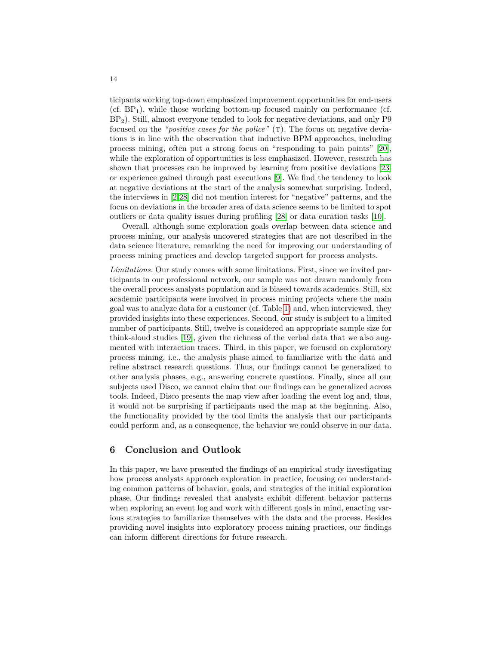ticipants working top-down emphasized improvement opportunities for end-users (cf.  $BP_1$ ), while those working bottom-up focused mainly on performance (cf. BP2). Still, almost everyone tended to look for negative deviations, and only P9 focused on the *"positive cases for the police"* (T). The focus on negative deviations is in line with the observation that inductive BPM approaches, including process mining, often put a strong focus on "responding to pain points" [\[20\]](#page-15-7), while the exploration of opportunities is less emphasized. However, research has shown that processes can be improved by learning from positive deviations [\[23\]](#page-15-17) or experience gained through past executions [\[9\]](#page-15-18). We find the tendency to look at negative deviations at the start of the analysis somewhat surprising. Indeed, the interviews in [\[2](#page-14-3)[,28\]](#page-15-8) did not mention interest for "negative" patterns, and the focus on deviations in the broader area of data science seems to be limited to spot outliers or data quality issues during profiling [\[28\]](#page-15-8) or data curation tasks [\[10\]](#page-15-4).

Overall, although some exploration goals overlap between data science and process mining, our analysis uncovered strategies that are not described in the data science literature, remarking the need for improving our understanding of process mining practices and develop targeted support for process analysts.

Limitations. Our study comes with some limitations. First, since we invited participants in our professional network, our sample was not drawn randomly from the overall process analysts population and is biased towards academics. Still, six academic participants were involved in process mining projects where the main goal was to analyze data for a customer (cf. Table [1\)](#page-4-0) and, when interviewed, they provided insights into these experiences. Second, our study is subject to a limited number of participants. Still, twelve is considered an appropriate sample size for think-aloud studies [\[19\]](#page-15-19), given the richness of the verbal data that we also augmented with interaction traces. Third, in this paper, we focused on exploratory process mining, i.e., the analysis phase aimed to familiarize with the data and refine abstract research questions. Thus, our findings cannot be generalized to other analysis phases, e.g., answering concrete questions. Finally, since all our subjects used Disco, we cannot claim that our findings can be generalized across tools. Indeed, Disco presents the map view after loading the event log and, thus, it would not be surprising if participants used the map at the beginning. Also, the functionality provided by the tool limits the analysis that our participants could perform and, as a consequence, the behavior we could observe in our data.

## <span id="page-13-0"></span>**6 Conclusion and Outlook**

In this paper, we have presented the findings of an empirical study investigating how process analysts approach exploration in practice, focusing on understanding common patterns of behavior, goals, and strategies of the initial exploration phase. Our findings revealed that analysts exhibit different behavior patterns when exploring an event log and work with different goals in mind, enacting various strategies to familiarize themselves with the data and the process. Besides providing novel insights into exploratory process mining practices, our findings can inform different directions for future research.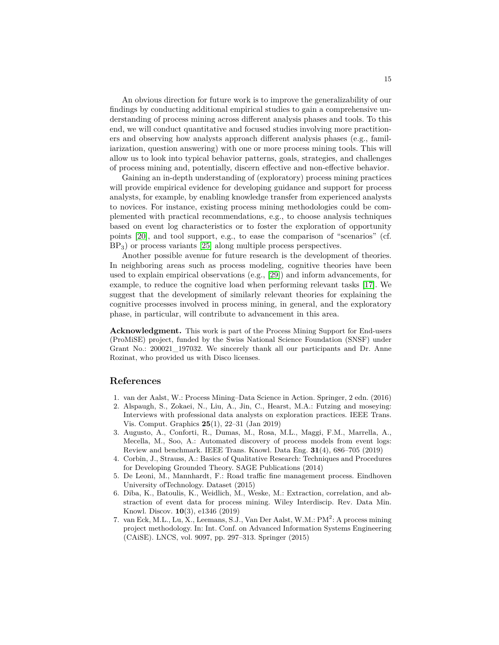An obvious direction for future work is to improve the generalizability of our findings by conducting additional empirical studies to gain a comprehensive understanding of process mining across different analysis phases and tools. To this end, we will conduct quantitative and focused studies involving more practitioners and observing how analysts approach different analysis phases (e.g., familiarization, question answering) with one or more process mining tools. This will allow us to look into typical behavior patterns, goals, strategies, and challenges of process mining and, potentially, discern effective and non-effective behavior.

Gaining an in-depth understanding of (exploratory) process mining practices will provide empirical evidence for developing guidance and support for process analysts, for example, by enabling knowledge transfer from experienced analysts to novices. For instance, existing process mining methodologies could be complemented with practical recommendations, e.g., to choose analysis techniques based on event log characteristics or to foster the exploration of opportunity points [\[20\]](#page-15-7), and tool support, e.g., to ease the comparison of "scenarios" (cf. BP3) or process variants [\[25\]](#page-15-15) along multiple process perspectives.

Another possible avenue for future research is the development of theories. In neighboring areas such as process modeling, cognitive theories have been used to explain empirical observations (e.g., [\[29\]](#page-15-20)) and inform advancements, for example, to reduce the cognitive load when performing relevant tasks [\[17\]](#page-15-21). We suggest that the development of similarly relevant theories for explaining the cognitive processes involved in process mining, in general, and the exploratory phase, in particular, will contribute to advancement in this area.

**Acknowledgment.** This work is part of the Process Mining Support for End-users (ProMiSE) project, funded by the Swiss National Science Foundation (SNSF) under Grant No.: 200021\_197032. We sincerely thank all our participants and Dr. Anne Rozinat, who provided us with Disco licenses.

### **References**

- <span id="page-14-0"></span>1. van der Aalst, W.: Process Mining–Data Science in Action. Springer, 2 edn. (2016)
- <span id="page-14-3"></span>2. Alspaugh, S., Zokaei, N., Liu, A., Jin, C., Hearst, M.A.: Futzing and moseying: Interviews with professional data analysts on exploration practices. IEEE Trans. Vis. Comput. Graphics **25**(1), 22–31 (Jan 2019)
- <span id="page-14-6"></span>3. Augusto, A., Conforti, R., Dumas, M., Rosa, M.L., Maggi, F.M., Marrella, A., Mecella, M., Soo, A.: Automated discovery of process models from event logs: Review and benchmark. IEEE Trans. Knowl. Data Eng. **31**(4), 686–705 (2019)
- <span id="page-14-5"></span>4. Corbin, J., Strauss, A.: Basics of Qualitative Research: Techniques and Procedures for Developing Grounded Theory. SAGE Publications (2014)
- <span id="page-14-4"></span>5. De Leoni, M., Mannhardt, F.: Road traffic fine management process. Eindhoven University ofTechnology. Dataset (2015)
- <span id="page-14-1"></span>6. Diba, K., Batoulis, K., Weidlich, M., Weske, M.: Extraction, correlation, and abstraction of event data for process mining. Wiley Interdiscip. Rev. Data Min. Knowl. Discov. **10**(3), e1346 (2019)
- <span id="page-14-2"></span>7. van Eck, M.L., Lu, X., Leemans, S.J., Van Der Aalst, W.M.: PM<sup>2</sup>: A process mining project methodology. In: Int. Conf. on Advanced Information Systems Engineering (CAiSE). LNCS, vol. 9097, pp. 297–313. Springer (2015)